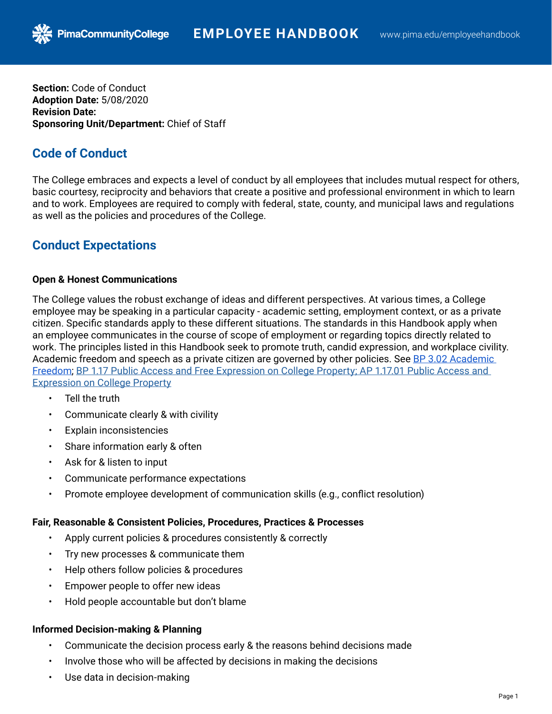**Section:** Code of Conduct **Adoption Date:** 5/08/2020 **Revision Date: Sponsoring Unit/Department:** Chief of Staff

## **Code of Conduct**

The College embraces and expects a level of conduct by all employees that includes mutual respect for others, basic courtesy, reciprocity and behaviors that create a positive and professional environment in which to learn and to work. Employees are required to comply with federal, state, county, and municipal laws and regulations as well as the policies and procedures of the College.

# **Conduct Expectations**

#### **Open & Honest Communications**

The College values the robust exchange of ideas and different perspectives. At various times, a College employee may be speaking in a particular capacity - academic setting, employment context, or as a private citizen. Specific standards apply to these different situations. The standards in this Handbook apply when an employee communicates in the course of scope of employment or regarding topics directly related to work. The principles listed in this Handbook seek to promote truth, candid expression, and workplace civility. Academic freedom and speech as a private citizen are governed by other policies. See BP 3.02 Academic [Freedom;](https://www.pima.edu/about-pima/leadership-policies/policies/board-policies/docs-bp-03/bp-3-02.pdf) [BP 1.17 Public Access and Free Expression on College Property](https://www.pima.edu/about-pima/leadership-policies/policies/board-policies/docs-bp-01/BP-1-17.pdf); [AP 1.17.01 Public Access and](https://www.pima.edu/about-pima/leadership-policies/policies/administrative-procedures/docs-ap-01/ap-1-17-01.pdf)  [Expression on College Property](https://www.pima.edu/about-pima/leadership-policies/policies/administrative-procedures/docs-ap-01/ap-1-17-01.pdf)

- Tell the truth
- Communicate clearly & with civility
- **Explain inconsistencies**
- Share information early & often
- Ask for & listen to input
- Communicate performance expectations
- Promote employee development of communication skills (e.g., conflict resolution)

#### **Fair, Reasonable & Consistent Policies, Procedures, Practices & Processes**

- Apply current policies & procedures consistently & correctly
- Try new processes & communicate them
- Help others follow policies & procedures
- Empower people to offer new ideas
- Hold people accountable but don't blame

#### **Informed Decision-making & Planning**

- Communicate the decision process early & the reasons behind decisions made
- Involve those who will be affected by decisions in making the decisions
- Use data in decision-making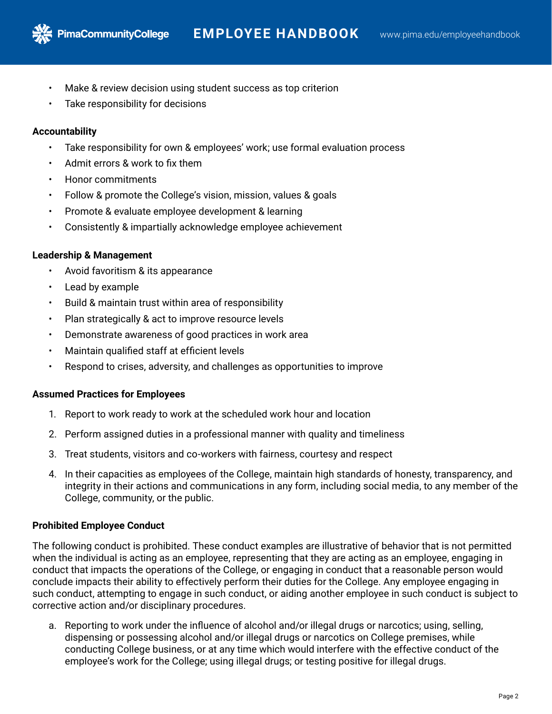- Make & review decision using student success as top criterion
- Take responsibility for decisions

## **Accountability**

- Take responsibility for own & employees' work; use formal evaluation process
- Admit errors & work to fix them
- Honor commitments
- Follow & promote the College's vision, mission, values & goals
- Promote & evaluate employee development & learning
- Consistently & impartially acknowledge employee achievement

## **Leadership & Management**

- Avoid favoritism & its appearance
- Lead by example
- Build & maintain trust within area of responsibility
- Plan strategically & act to improve resource levels
- Demonstrate awareness of good practices in work area
- Maintain qualified staff at efficient levels
- Respond to crises, adversity, and challenges as opportunities to improve

#### **Assumed Practices for Employees**

- 1. Report to work ready to work at the scheduled work hour and location
- 2. Perform assigned duties in a professional manner with quality and timeliness
- 3. Treat students, visitors and co-workers with fairness, courtesy and respect
- 4. In their capacities as employees of the College, maintain high standards of honesty, transparency, and integrity in their actions and communications in any form, including social media, to any member of the College, community, or the public.

#### **Prohibited Employee Conduct**

The following conduct is prohibited. These conduct examples are illustrative of behavior that is not permitted when the individual is acting as an employee, representing that they are acting as an employee, engaging in conduct that impacts the operations of the College, or engaging in conduct that a reasonable person would conclude impacts their ability to effectively perform their duties for the College. Any employee engaging in such conduct, attempting to engage in such conduct, or aiding another employee in such conduct is subject to corrective action and/or disciplinary procedures.

a. Reporting to work under the influence of alcohol and/or illegal drugs or narcotics; using, selling, dispensing or possessing alcohol and/or illegal drugs or narcotics on College premises, while conducting College business, or at any time which would interfere with the effective conduct of the employee's work for the College; using illegal drugs; or testing positive for illegal drugs.